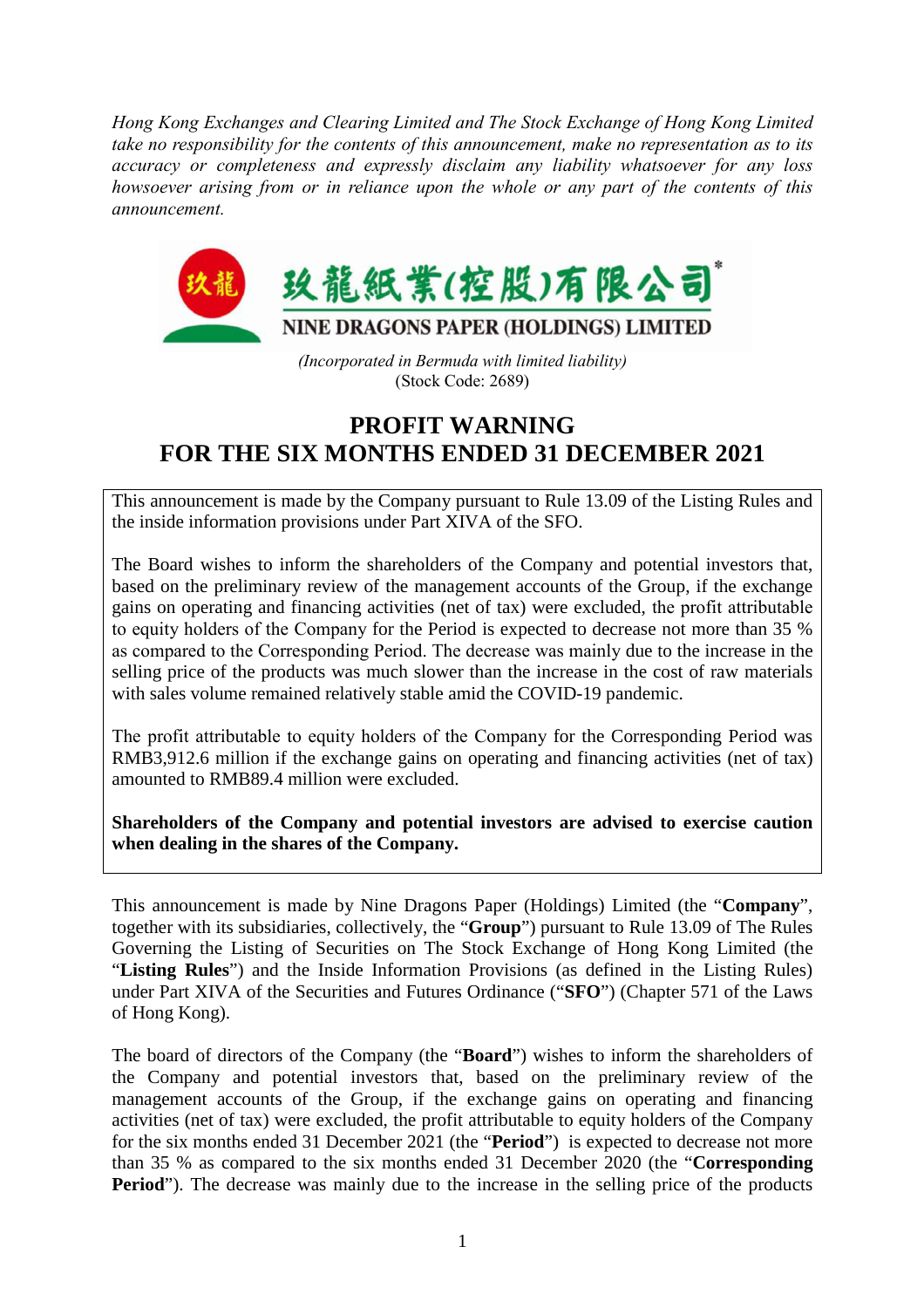*Hong Kong Exchanges and Clearing Limited and The Stock Exchange of Hong Kong Limited take no responsibility for the contents of this announcement, make no representation as to its accuracy or completeness and expressly disclaim any liability whatsoever for any loss howsoever arising from or in reliance upon the whole or any part of the contents of this announcement.*



*(Incorporated in Bermuda with limited liability)* (Stock Code: 2689)

## **PROFIT WARNING FOR THE SIX MONTHS ENDED 31 DECEMBER 2021**

This announcement is made by the Company pursuant to Rule 13.09 of the Listing Rules and the inside information provisions under Part XIVA of the SFO.

The Board wishes to inform the shareholders of the Company and potential investors that, based on the preliminary review of the management accounts of the Group, if the exchange gains on operating and financing activities (net of tax) were excluded, the profit attributable to equity holders of the Company for the Period is expected to decrease not more than 35 % as compared to the Corresponding Period. The decrease was mainly due to the increase in the selling price of the products was much slower than the increase in the cost of raw materials with sales volume remained relatively stable amid the COVID-19 pandemic.

The profit attributable to equity holders of the Company for the Corresponding Period was RMB3,912.6 million if the exchange gains on operating and financing activities (net of tax) amounted to RMB89.4 million were excluded.

**Shareholders of the Company and potential investors are advised to exercise caution when dealing in the shares of the Company.** 

This announcement is made by Nine Dragons Paper (Holdings) Limited (the "**Company**", together with its subsidiaries, collectively, the "**Group**") pursuant to Rule 13.09 of The Rules Governing the Listing of Securities on The Stock Exchange of Hong Kong Limited (the "**Listing Rules**") and the Inside Information Provisions (as defined in the Listing Rules) under Part XIVA of the Securities and Futures Ordinance ("**SFO**") (Chapter 571 of the Laws of Hong Kong).

The board of directors of the Company (the "**Board**") wishes to inform the shareholders of the Company and potential investors that, based on the preliminary review of the management accounts of the Group, if the exchange gains on operating and financing activities (net of tax) were excluded, the profit attributable to equity holders of the Company for the six months ended 31 December 2021 (the "**Period**") is expected to decrease not more than 35 % as compared to the six months ended 31 December 2020 (the "**Corresponding Period**"). The decrease was mainly due to the increase in the selling price of the products